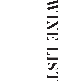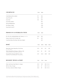#### CHAMPAGNE Cuvée Malmaison Brut, Lombard Lanson Père et Fils Lanson Rosé Lanson Blanc de Blancs Perrier-Jouët Belle Epoque Dom Pérignon Vintage Krug Grande Cuvée NV £11 £12 £12 125ml £64 £69 £70 £99 £175 £185 £195 Bottle PROSECCO & SPARKLING WINE Eins, Zwei, Zero, Sparkling Riesling, Leitz, Germany *Alcohol Free* Prosecco, Extra Dry NV, Fiol, Veneto, Italy Cuvee Rosé, Bolney Wine Estate, West Sussex, England £4.5 £8 £24 £39 £59 125ml Bottle ROSE ' Maison Rosé, Anciens Temps Rose, Vin de France *Juicy | Light | Raspberry* White Zinfandel Rosé, Burlesque, California, USA *Watermelon & Strawberry | Excellent Acidity | Medium Sweet* Provençal Rosé, Domaine Vieille Tour, France *Delicate Aromas | Clean & Well Balanced | Lovely & Sweet Fruit* £5.5 £6.5 £7.5 £7.5 £9 £10.5 175ml 250ml £15 £18 £20.5 500ml £22 £25 £30 Bottle £28 (500ml) £39 (750ml) £35 (500ml) £7.5 £7 £9 £3.5 £3.5 £4.5 DESSERT WINES & PORT Tokaji, Late Harvest, Royal Tokaji Co, Hungary LBV Port, Warre, Portugal 10yr Tawny, Quinta do Vallado, Portugal 50ml 125ml Bottle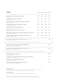# **WHITE**

| WHITE                                                                                                                                           | 175 <sub>ml</sub> | 250ml | 500ml | <b>Bottle</b> |
|-------------------------------------------------------------------------------------------------------------------------------------------------|-------------------|-------|-------|---------------|
| Maison Blanc, Anciens Temps Blanc, Vin de France<br>Crisp   Apple & Pear                                                                        | £5.5              | £7.5  | £15   | £22           |
| Torrontes, Trapiche, Mendoza, Argentina<br>Floral   Zesty   Food Friendly                                                                       | £6.5              | £9    | £18   | £25           |
| Chenin Blanc, Viognier, Percheron, Western Cape, South Africa<br>Complex   Balanced   Fresh                                                     | £6.5              | £9    | £18   | £25           |
| Chardonnay, Xanadu Exmoor, Margaret River, Australia<br>Food Friendly   Smooth   Buttery                                                        | £7.5              | £10.5 | £20.5 | £30           |
| Pinot Grigio, Puiatti, Friuli-Venezia Giulia, Italy<br>Steely   Lime   Minerality                                                               | £7.5              | £10.5 | £20.5 | £30           |
| Rioja Blanco, Ontañón Vetiver, DOCA Rioja, Spain<br>Elegant   Citrus   Fresh                                                                    | £7.5              | £10.5 | £20.5 | £30           |
| Sauvignon Blanc, Weather Station, Journeys End, Stellenbosch, South Africa<br>Acidity   Gooseberry & Grapefruit                                 | £9.5              | £12.5 | £24.5 | £35           |
| Riesling, Rag & Bone, Smalltown Vineyards, Eden Valley, Australia<br>Clean & Fresh   Floral   Zesty & Spritzy                                   | £9.5              | £12.5 | £24.5 | £35           |
| Grüner Veltliner, Friendly, Laurenz V, Kremstal, Austria Sommelier's Choice<br>Vibrant & Crisp   Tropical Fruit                                 |                   |       |       | £35           |
| Grüner Veltliner is the most widely planted variety in Austria. A lovely fresh and complex variety that is great with or without food.          |                   |       |       |               |
| Albariño, Bodegas Castro Martin, Family Estate Selection, Spain<br>Mouth-watering Freshness   Red Apple   Pink Grapefruit                       |                   |       |       | £40           |
| Chardonnay by Sir Ian Botham, Adelaide Hills, Australia Ambassador Wine<br>Rich & Full   Tropical Fruit & Vanilla   Food Friendly               |                   |       |       | £40           |
| The Adelaide Hills Chardonnay was blended in collaboration with Marty Edwards, Head Vigneron at The Lane Winery, nestled in the Adelaide Hills. |                   |       |       |               |
| Chablis, Domaine de Vauroux, France<br>Crisp & Elegant   Lemon & Lime                                                                           |                   |       |       | £45           |
| Sauvignon Blanc, 'The Straits', Slieni Estates, Marlborough, New Zealand<br>Balanced Freshness   Citrus & Tropical Fruit                        |                   |       |       | £45           |
| Pouilly-Fuissé, Domaine Ferret, Burgundy, France<br>Long Finish   Structured   Peach & Pear                                                     |                   |       |       | £50           |
| Sancerre, Blanc Grand Chaille Domaine Thomas, France<br>Rich Citrus Fruit   Bright Complexity   Refreshing Acidity                              |                   |       |       | £50           |

### Ambassador Wine

*To celebrate the longstanding relationship Malmaison have with Sir Ian Botham as one of our Brand Ambassadors, we are very proud to list two of his first class wines. The Sir Ian Botham Series are a selection of premium wines from around Australia.*

#### Sommelier's Choice

*Fantastic wine carefully selected by Malmaison's Brand Sommelier. Something a little different and well worth a try.*

125ml glasses also available on bottles with by the glass prices. A discretionary service charge of 10% will be added to your bill.<br>All prices in GBP and include VAT. For special dietary requirements or allergy information